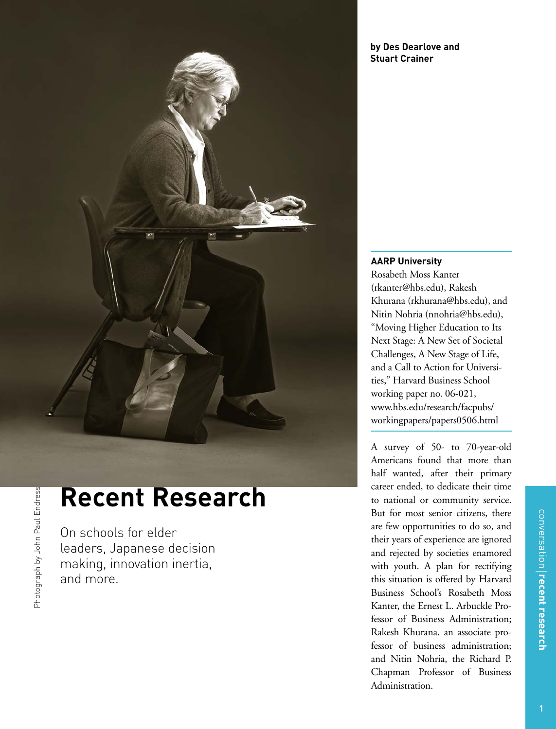

# **Recent Research**

On schools for elder leaders, Japanese decision making, innovation inertia, and more.

Photograph by John Paul EndressPhotograph by John Paul Endress

#### **by Des Dearlove and Stuart Crainer**

**AARP University**  Rosabeth Moss Kanter (rkanter@hbs.edu), Rakesh Khurana (rkhurana@hbs.edu), and Nitin Nohria (nnohria@hbs.edu), "Moving Higher Education to Its Next Stage: A New Set of Societal Challenges, A New Stage of Life, and a Call to Action for Universities," Harvard Business School working paper no. 06-021, www.hbs.edu/research/facpubs/ workingpapers/papers0506.html

A survey of 50- to 70-year-old Americans found that more than half wanted, after their primary career ended, to dedicate their time to national or community service. But for most senior citizens, there are few opportunities to do so, and their years of experience are ignored and rejected by societies enamored with youth. A plan for rectifying this situation is offered by Harvard Business School's Rosabeth Moss Kanter, the Ernest L. Arbuckle Professor of Business Administration; Rakesh Khurana, an associate professor of business administration; and Nitin Nohria, the Richard P. Chapman Professor of Business Administration.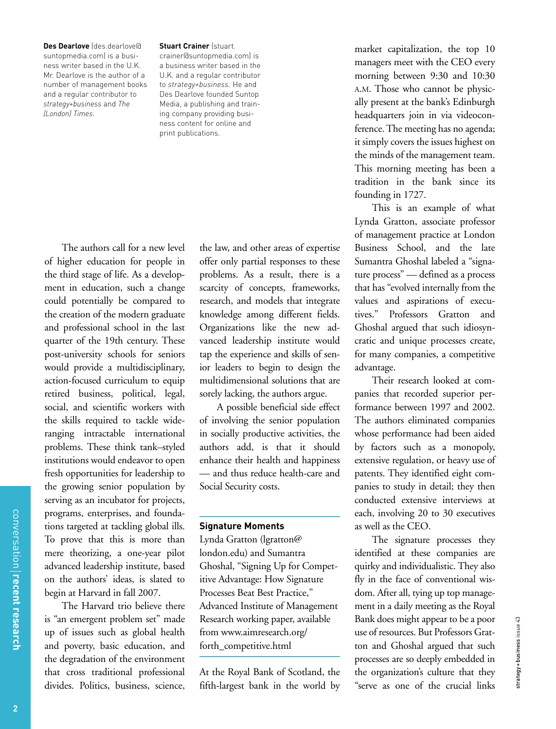**Des Dearlove** (des.dearlove@ suntopmedia.com) is a business writer based in the U.K. Mr. Dearlove is the author of a number of management books and a regular contributor to *strategy+business* and *The (London) Times*.

#### **Stuart Crainer (stuart.**

crainer@suntopmedia.com) is a business writer based in the U.K. and a regular contributor to *strategy+business.* He and Des Dearlove founded Suntop Media, a publishing and training company providing business content for online and print publications.

The authors call for a new level of higher education for people in the third stage of life. As a development in education, such a change could potentially be compared to the creation of the modern graduate and professional school in the last quarter of the 19th century. These post-university schools for seniors would provide a multidisciplinary, action-focused curriculum to equip retired business, political, legal, social, and scientific workers with the skills required to tackle wideranging intractable international problems. These think tank–styled institutions would endeavor to open fresh opportunities for leadership to the growing senior population by serving as an incubator for projects, programs, enterprises, and foundations targeted at tackling global ills. To prove that this is more than mere theorizing, a one-year pilot advanced leadership institute, based on the authors' ideas, is slated to begin at Harvard in fall 2007.

The Harvard trio believe there is "an emergent problem set" made up of issues such as global health and poverty, basic education, and the degradation of the environment that cross traditional professional divides. Politics, business, science,

the law, and other areas of expertise offer only partial responses to these problems. As a result, there is a scarcity of concepts, frameworks, research, and models that integrate knowledge among different fields. Organizations like the new advanced leadership institute would tap the experience and skills of senior leaders to begin to design the multidimensional solutions that are sorely lacking, the authors argue.

A possible beneficial side effect of involving the senior population in socially productive activities, the authors add, is that it should enhance their health and happiness — and thus reduce health-care and Social Security costs.

#### **Signature Moments**

Lynda Gratton (lgratton@ london.edu) and Sumantra Ghoshal, "Signing Up for Competitive Advantage: How Signature Processes Beat Best Practice," Advanced Institute of Management Research working paper, available from www.aimresearch.org/ forth\_competitive.html

At the Royal Bank of Scotland, the fifth-largest bank in the world by market capitalization, the top 10 managers meet with the CEO every morning between 9:30 and 10:30 A.M. Those who cannot be physically present at the bank's Edinburgh headquarters join in via videoconference. The meeting has no agenda; it simply covers the issues highest on the minds of the management team. This morning meeting has been a tradition in the bank since its founding in 1727.

This is an example of what Lynda Gratton, associate professor of management practice at London Business School, and the late Sumantra Ghoshal labeled a "signature process" — defined as a process that has "evolved internally from the values and aspirations of executives." Professors Gratton and Ghoshal argued that such idiosyncratic and unique processes create, for many companies, a competitive advantage.

Their research looked at companies that recorded superior performance between 1997 and 2002. The authors eliminated companies whose performance had been aided by factors such as a monopoly, extensive regulation, or heavy use of patents. They identified eight companies to study in detail; they then conducted extensive interviews at each, involving 20 to 30 executives as well as the CEO.

The signature processes they identified at these companies are quirky and individualistic. They also fly in the face of conventional wisdom. After all, tying up top management in a daily meeting as the Royal Bank does might appear to be a poor use of resources. But Professors Gratton and Ghoshal argued that such processes are so deeply embedded in the organization's culture that they "serve as one of the crucial links

strategy + business issue 43

strategy+business issue 43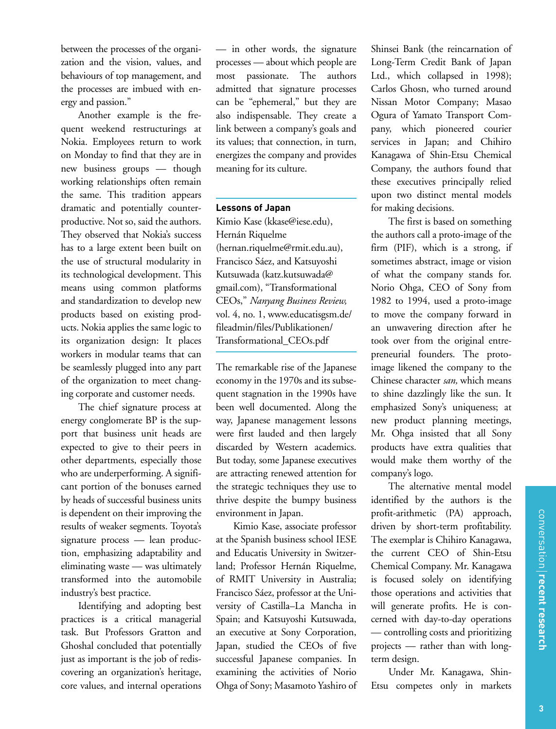between the processes of the organization and the vision, values, and behaviours of top management, and the processes are imbued with energy and passion."

Another example is the frequent weekend restructurings at Nokia. Employees return to work on Monday to find that they are in new business groups — though working relationships often remain the same. This tradition appears dramatic and potentially counterproductive. Not so, said the authors. They observed that Nokia's success has to a large extent been built on the use of structural modularity in its technological development. This means using common platforms and standardization to develop new products based on existing products. Nokia applies the same logic to its organization design: It places workers in modular teams that can be seamlessly plugged into any part of the organization to meet changing corporate and customer needs.

The chief signature process at energy conglomerate BP is the support that business unit heads are expected to give to their peers in other departments, especially those who are underperforming. A significant portion of the bonuses earned by heads of successful business units is dependent on their improving the results of weaker segments. Toyota's signature process — lean production, emphasizing adaptability and eliminating waste — was ultimately transformed into the automobile industry's best practice.

Identifying and adopting best practices is a critical managerial task. But Professors Gratton and Ghoshal concluded that potentially just as important is the job of rediscovering an organization's heritage, core values, and internal operations

— in other words, the signature processes — about which people are most passionate. The authors admitted that signature processes can be "ephemeral," but they are also indispensable. They create a link between a company's goals and its values; that connection, in turn, energizes the company and provides meaning for its culture.

#### **Lessons of Japan**

Kimio Kase (kkase@iese.edu), Hernán Riquelme (hernan.riquelme@rmit.edu.au), Francisco Sáez, and Katsuyoshi Kutsuwada (katz.kutsuwada@ gmail.com), "Transformational CEOs," *Nanyang Business Review,* vol. 4, no. 1, www.educatisgsm.de/ fileadmin/files/Publikationen/ Transformational\_CEOs.pdf

The remarkable rise of the Japanese economy in the 1970s and its subsequent stagnation in the 1990s have been well documented. Along the way, Japanese management lessons were first lauded and then largely discarded by Western academics. But today, some Japanese executives are attracting renewed attention for the strategic techniques they use to thrive despite the bumpy business environment in Japan.

Kimio Kase, associate professor at the Spanish business school IESE and Educatis University in Switzerland; Professor Hernán Riquelme, of RMIT University in Australia; Francisco Sáez, professor at the University of Castilla–La Mancha in Spain; and Katsuyoshi Kutsuwada, an executive at Sony Corporation, Japan, studied the CEOs of five successful Japanese companies. In examining the activities of Norio Ohga of Sony; Masamoto Yashiro of Shinsei Bank (the reincarnation of Long-Term Credit Bank of Japan Ltd., which collapsed in 1998); Carlos Ghosn, who turned around Nissan Motor Company; Masao Ogura of Yamato Transport Company, which pioneered courier services in Japan; and Chihiro Kanagawa of Shin-Etsu Chemical Company, the authors found that these executives principally relied upon two distinct mental models for making decisions.

The first is based on something the authors call a proto-image of the firm (PIF), which is a strong, if sometimes abstract, image or vision of what the company stands for. Norio Ohga, CEO of Sony from 1982 to 1994, used a proto-image to move the company forward in an unwavering direction after he took over from the original entrepreneurial founders. The protoimage likened the company to the Chinese character *san,* which means to shine dazzlingly like the sun. It emphasized Sony's uniqueness; at new product planning meetings, Mr. Ohga insisted that all Sony products have extra qualities that would make them worthy of the company's logo.

The alternative mental model identified by the authors is the profit-arithmetic (PA) approach, driven by short-term profitability. The exemplar is Chihiro Kanagawa, the current CEO of Shin-Etsu Chemical Company. Mr. Kanagawa is focused solely on identifying those operations and activities that will generate profits. He is concerned with day-to-day operations — controlling costs and prioritizing projects — rather than with longterm design.

Under Mr. Kanagawa, Shin-Etsu competes only in markets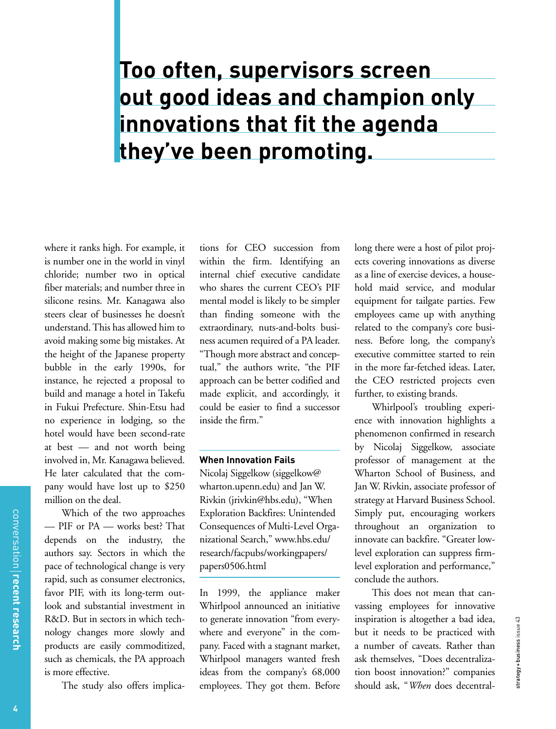## **Too often, supervisors screen out good ideas and champion only innovations that fit the agenda they've been promoting.**

where it ranks high. For example, it is number one in the world in vinyl chloride; number two in optical fiber materials; and number three in silicone resins. Mr. Kanagawa also steers clear of businesses he doesn't understand. This has allowed him to avoid making some big mistakes. At the height of the Japanese property bubble in the early 1990s, for instance, he rejected a proposal to build and manage a hotel in Takefu in Fukui Prefecture. Shin-Etsu had no experience in lodging, so the hotel would have been second-rate at best — and not worth being involved in, Mr. Kanagawa believed. He later calculated that the company would have lost up to \$250 million on the deal.

Which of the two approaches — PIF or PA — works best? That depends on the industry, the authors say. Sectors in which the pace of technological change is very rapid, such as consumer electronics, favor PIF, with its long-term outlook and substantial investment in R&D. But in sectors in which technology changes more slowly and products are easily commoditized, such as chemicals, the PA approach is more effective.

The study also offers implica-

tions for CEO succession from within the firm. Identifying an internal chief executive candidate who shares the current CEO's PIF mental model is likely to be simpler than finding someone with the extraordinary, nuts-and-bolts business acumen required of a PA leader. "Though more abstract and conceptual," the authors write, "the PIF approach can be better codified and made explicit, and accordingly, it could be easier to find a successor inside the firm."

#### **When Innovation Fails**

Nicolaj Siggelkow (siggelkow@ wharton.upenn.edu) and Jan W. Rivkin (jrivkin@hbs.edu), "When Exploration Backfires: Unintended Consequences of Multi-Level Organizational Search," www.hbs.edu/ research/facpubs/workingpapers/ papers0506.html

In 1999, the appliance maker Whirlpool announced an initiative to generate innovation "from everywhere and everyone" in the company. Faced with a stagnant market, Whirlpool managers wanted fresh ideas from the company's 68,000 employees. They got them. Before

long there were a host of pilot projects covering innovations as diverse as a line of exercise devices, a household maid service, and modular equipment for tailgate parties. Few employees came up with anything related to the company's core business. Before long, the company's executive committee started to rein in the more far-fetched ideas. Later, the CEO restricted projects even further, to existing brands.

Whirlpool's troubling experience with innovation highlights a phenomenon confirmed in research by Nicolaj Siggelkow, associate professor of management at the Wharton School of Business, and Jan W. Rivkin, associate professor of strategy at Harvard Business School. Simply put, encouraging workers throughout an organization to innovate can backfire. "Greater lowlevel exploration can suppress firmlevel exploration and performance," conclude the authors.

This does not mean that canvassing employees for innovative inspiration is altogether a bad idea, but it needs to be practiced with a number of caveats. Rather than ask themselves, "Does decentralization boost innovation?" companies should ask, "*When* does decentral-

strategy + business issue 43

strategy+business issue 43